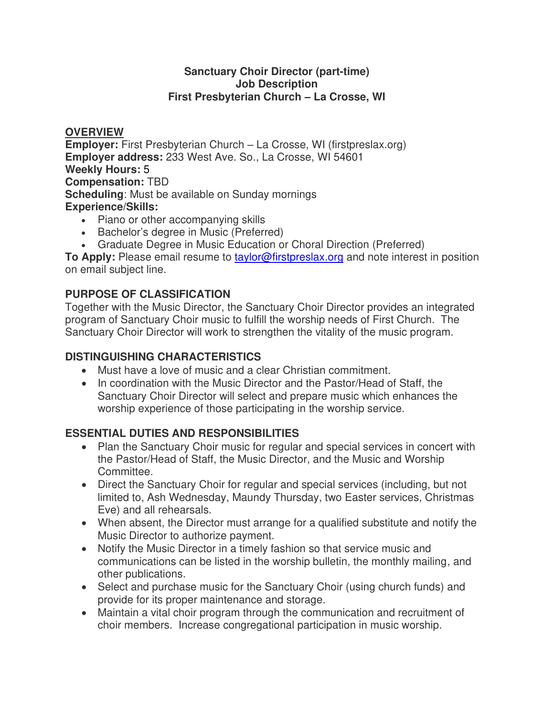#### **Sanctuary Choir Director (part-time) Job Description First Presbyterian Church – La Crosse, WI**

**OVERVIEW Employer:** First Presbyterian Church – La Crosse, WI (firstpreslax.org) **Employer address:** 233 West Ave. So., La Crosse, WI 54601 **Weekly Hours:** 5 **Compensation:** TBD **Scheduling**: Must be available on Sunday mornings **Experience/Skills:** 

- Piano or other accompanying skills
- Bachelor's degree in Music (Preferred)
- Graduate Degree in Music Education or Choral Direction (Preferred)

**To Apply:** Please email resume to [taylor@firstpreslax.org](mailto:taylor@firstpreslax.org) and note interest in position on email subject line.

# **PURPOSE OF CLASSIFICATION**

Together with the Music Director, the Sanctuary Choir Director provides an integrated program of Sanctuary Choir music to fulfill the worship needs of First Church. The Sanctuary Choir Director will work to strengthen the vitality of the music program.

## **DISTINGUISHING CHARACTERISTICS**

- Must have a love of music and a clear Christian commitment.
- In coordination with the Music Director and the Pastor/Head of Staff, the Sanctuary Choir Director will select and prepare music which enhances the worship experience of those participating in the worship service.

## **ESSENTIAL DUTIES AND RESPONSIBILITIES**

- Plan the Sanctuary Choir music for regular and special services in concert with the Pastor/Head of Staff, the Music Director, and the Music and Worship Committee.
- Direct the Sanctuary Choir for regular and special services (including, but not limited to, Ash Wednesday, Maundy Thursday, two Easter services, Christmas Eve) and all rehearsals.
- When absent, the Director must arrange for a qualified substitute and notify the Music Director to authorize payment.
- Notify the Music Director in a timely fashion so that service music and communications can be listed in the worship bulletin, the monthly mailing, and other publications.
- Select and purchase music for the Sanctuary Choir (using church funds) and provide for its proper maintenance and storage.
- Maintain a vital choir program through the communication and recruitment of choir members. Increase congregational participation in music worship.